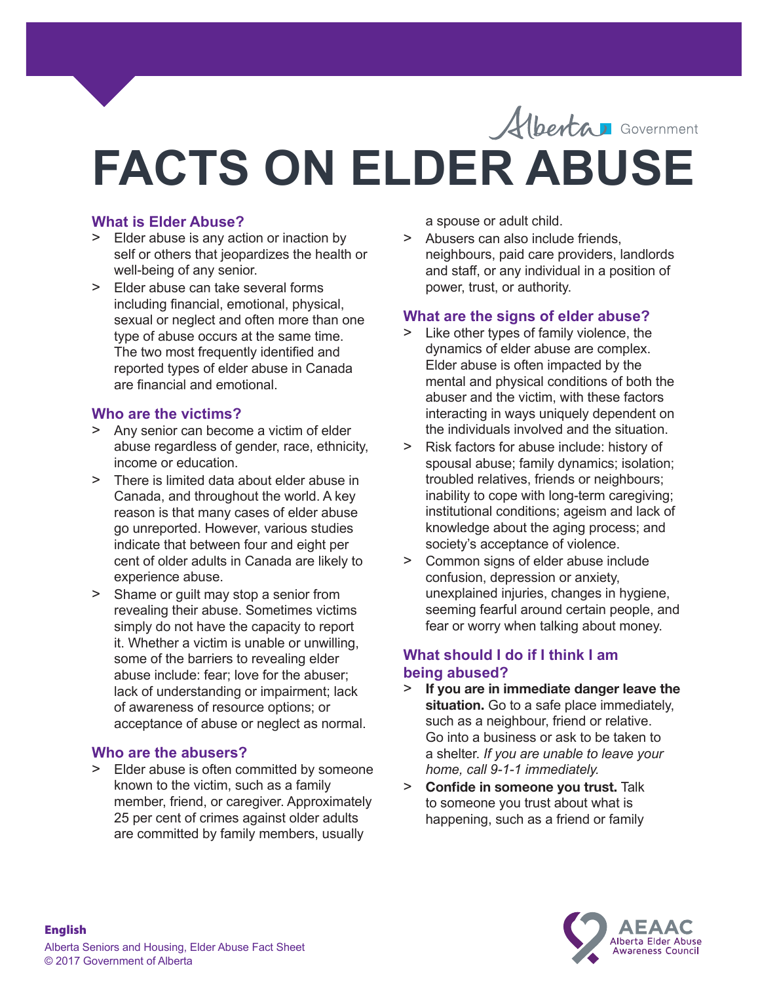

# **FACTS ON ELDER ABUSE**

### **What is Elder Abuse?**

- > Elder abuse is any action or inaction by self or others that jeopardizes the health or well-being of any senior.
- > Elder abuse can take several forms including financial, emotional, physical, sexual or neglect and often more than one type of abuse occurs at the same time. The two most frequently identified and reported types of elder abuse in Canada are financial and emotional.

#### **Who are the victims?**

- > Any senior can become a victim of elder abuse regardless of gender, race, ethnicity, income or education.
- > There is limited data about elder abuse in Canada, and throughout the world. A key reason is that many cases of elder abuse go unreported. However, various studies indicate that between four and eight per cent of older adults in Canada are likely to experience abuse.
- > Shame or guilt may stop a senior from revealing their abuse. Sometimes victims simply do not have the capacity to report it. Whether a victim is unable or unwilling, some of the barriers to revealing elder abuse include: fear; love for the abuser; lack of understanding or impairment; lack of awareness of resource options; or acceptance of abuse or neglect as normal.

#### **Who are the abusers?**

> Elder abuse is often committed by someone known to the victim, such as a family member, friend, or caregiver. Approximately 25 per cent of crimes against older adults are committed by family members, usually

a spouse or adult child.

> Abusers can also include friends, neighbours, paid care providers, landlords and staff, or any individual in a position of power, trust, or authority.

## **What are the signs of elder abuse?**

- > Like other types of family violence, the dynamics of elder abuse are complex. Elder abuse is often impacted by the mental and physical conditions of both the abuser and the victim, with these factors interacting in ways uniquely dependent on the individuals involved and the situation.
- > Risk factors for abuse include: history of spousal abuse; family dynamics; isolation; troubled relatives, friends or neighbours; inability to cope with long-term caregiving; institutional conditions; ageism and lack of knowledge about the aging process; and society's acceptance of violence.
- > Common signs of elder abuse include confusion, depression or anxiety, unexplained injuries, changes in hygiene, seeming fearful around certain people, and fear or worry when talking about money.

#### **What should I do if I think I am being abused?**

- > **If you are in immediate danger leave the**  situation. Go to a safe place immediately, such as a neighbour, friend or relative. Go into a business or ask to be taken to a shelter. *If you are unable to leave your home, call 9-1-1 immediately.*
- > **Confide in someone you trust.** Talk to someone you trust about what is happening, such as a friend or family